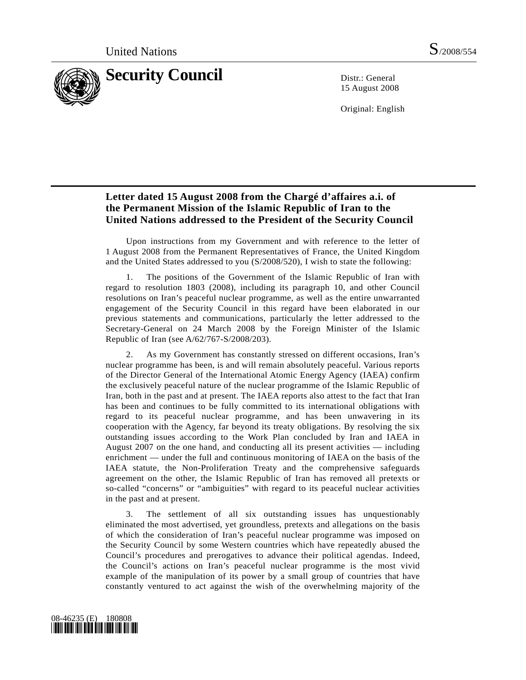

15 August 2008

Original: English

## **Letter dated 15 August 2008 from the Chargé d'affaires a.i. of the Permanent Mission of the Islamic Republic of Iran to the United Nations addressed to the President of the Security Council**

 Upon instructions from my Government and with reference to the letter of 1 August 2008 from the Permanent Representatives of France, the United Kingdom and the United States addressed to you (S/2008/520), I wish to state the following:

 1. The positions of the Government of the Islamic Republic of Iran with regard to resolution 1803 (2008), including its paragraph 10, and other Council resolutions on Iran's peaceful nuclear programme, as well as the entire unwarranted engagement of the Security Council in this regard have been elaborated in our previous statements and communications, particularly the letter addressed to the Secretary-General on 24 March 2008 by the Foreign Minister of the Islamic Republic of Iran (see A/62/767-S/2008/203).

 2. As my Government has constantly stressed on different occasions, Iran's nuclear programme has been, is and will remain absolutely peaceful. Various reports of the Director General of the International Atomic Energy Agency (IAEA) confirm the exclusively peaceful nature of the nuclear programme of the Islamic Republic of Iran, both in the past and at present. The IAEA reports also attest to the fact that Iran has been and continues to be fully committed to its international obligations with regard to its peaceful nuclear programme, and has been unwavering in its cooperation with the Agency, far beyond its treaty obligations. By resolving the six outstanding issues according to the Work Plan concluded by Iran and IAEA in August 2007 on the one hand, and conducting all its present activities — including enrichment — under the full and continuous monitoring of IAEA on the basis of the IAEA statute, the Non-Proliferation Treaty and the comprehensive safeguards agreement on the other, the Islamic Republic of Iran has removed all pretexts or so-called "concerns" or "ambiguities" with regard to its peaceful nuclear activities in the past and at present.

 3. The settlement of all six outstanding issues has unquestionably eliminated the most advertised, yet groundless, pretexts and allegations on the basis of which the consideration of Iran's peaceful nuclear programme was imposed on the Security Council by some Western countries which have repeatedly abused the Council's procedures and prerogatives to advance their political agendas. Indeed, the Council's actions on Iran's peaceful nuclear programme is the most vivid example of the manipulation of its power by a small group of countries that have constantly ventured to act against the wish of the overwhelming majority of the

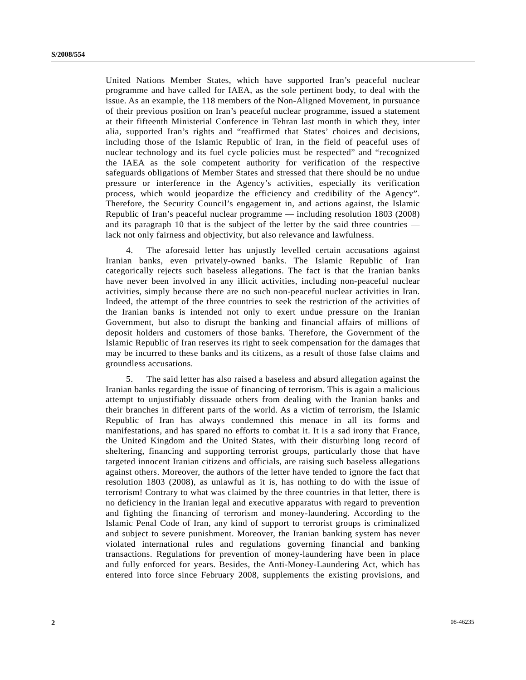United Nations Member States, which have supported Iran's peaceful nuclear programme and have called for IAEA, as the sole pertinent body, to deal with the issue. As an example, the 118 members of the Non-Aligned Movement, in pursuance of their previous position on Iran's peaceful nuclear programme, issued a statement at their fifteenth Ministerial Conference in Tehran last month in which they, inter alia, supported Iran's rights and "reaffirmed that States' choices and decisions, including those of the Islamic Republic of Iran, in the field of peaceful uses of nuclear technology and its fuel cycle policies must be respected" and "recognized the IAEA as the sole competent authority for verification of the respective safeguards obligations of Member States and stressed that there should be no undue pressure or interference in the Agency's activities, especially its verification process, which would jeopardize the efficiency and credibility of the Agency". Therefore, the Security Council's engagement in, and actions against, the Islamic Republic of Iran's peaceful nuclear programme — including resolution 1803 (2008) and its paragraph 10 that is the subject of the letter by the said three countries lack not only fairness and objectivity, but also relevance and lawfulness.

 4. The aforesaid letter has unjustly levelled certain accusations against Iranian banks, even privately-owned banks. The Islamic Republic of Iran categorically rejects such baseless allegations. The fact is that the Iranian banks have never been involved in any illicit activities, including non-peaceful nuclear activities, simply because there are no such non-peaceful nuclear activities in Iran. Indeed, the attempt of the three countries to seek the restriction of the activities of the Iranian banks is intended not only to exert undue pressure on the Iranian Government, but also to disrupt the banking and financial affairs of millions of deposit holders and customers of those banks. Therefore, the Government of the Islamic Republic of Iran reserves its right to seek compensation for the damages that may be incurred to these banks and its citizens, as a result of those false claims and groundless accusations.

 5. The said letter has also raised a baseless and absurd allegation against the Iranian banks regarding the issue of financing of terrorism. This is again a malicious attempt to unjustifiably dissuade others from dealing with the Iranian banks and their branches in different parts of the world. As a victim of terrorism, the Islamic Republic of Iran has always condemned this menace in all its forms and manifestations, and has spared no efforts to combat it. It is a sad irony that France, the United Kingdom and the United States, with their disturbing long record of sheltering, financing and supporting terrorist groups, particularly those that have targeted innocent Iranian citizens and officials, are raising such baseless allegations against others. Moreover, the authors of the letter have tended to ignore the fact that resolution 1803 (2008), as unlawful as it is, has nothing to do with the issue of terrorism! Contrary to what was claimed by the three countries in that letter, there is no deficiency in the Iranian legal and executive apparatus with regard to prevention and fighting the financing of terrorism and money-laundering. According to the Islamic Penal Code of Iran, any kind of support to terrorist groups is criminalized and subject to severe punishment. Moreover, the Iranian banking system has never violated international rules and regulations governing financial and banking transactions. Regulations for prevention of money-laundering have been in place and fully enforced for years. Besides, the Anti-Money-Laundering Act, which has entered into force since February 2008, supplements the existing provisions, and